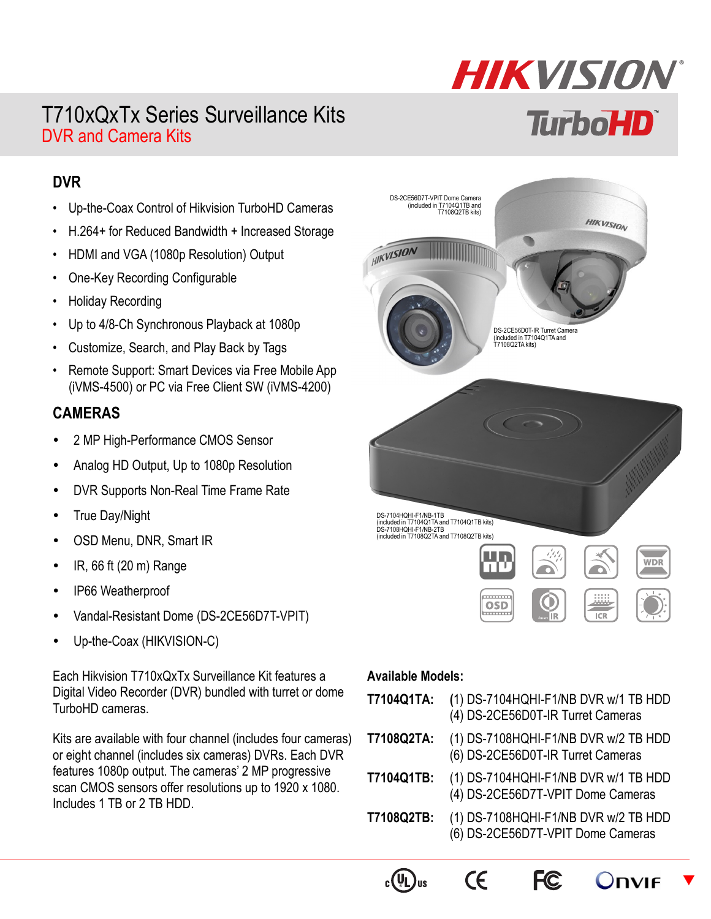## T710xQxTx Series Surveillance Kits DVR and Camera Kits

# **HIKVISION TurboHD**

#### **DVR**

- Up-the-Coax Control of Hikvision TurboHD Cameras
- H.264+ for Reduced Bandwidth + Increased Storage
- HDMI and VGA (1080p Resolution) Output
- One-Key Recording Configurable
- Holiday Recording
- Up to 4/8-Ch Synchronous Playback at 1080p
- Customize, Search, and Play Back by Tags
- Remote Support: Smart Devices via Free Mobile App (iVMS-4500) or PC via Free Client SW (iVMS-4200)

#### **CAMERAS**

- 2 MP High-Performance CMOS Sensor
- Analog HD Output, Up to 1080p Resolution
- DVR Supports Non-Real Time Frame Rate
- True Day/Night
- OSD Menu, DNR, Smart IR
- $\cdot$  IR, 66 ft (20 m) Range
- IP66 Weatherproof
- Vandal-Resistant Dome (DS-2CE56D7T-VPIT)
- Up-the-Coax (HIKVISION-C)

Each Hikvision T710xQxTx Surveillance Kit features a Digital Video Recorder (DVR) bundled with turret or dome TurboHD cameras.

Kits are available with four channel (includes four cameras) or eight channel (includes six cameras) DVRs. Each DVR features 1080p output. The cameras' 2 MP progressive scan CMOS sensors offer resolutions up to 1920 x 1080. Includes 1 TB or 2 TB HDD.



#### **Available Models:**

| T7104Q1TA: | (1) DS-7104HQHI-F1/NB DVR w/1 TB HDD<br>(4) DS-2CE56D0T-IR Turret Cameras |
|------------|---------------------------------------------------------------------------|
| T7108Q2TA: | (1) DS-7108HQHI-F1/NB DVR w/2 TB HDD<br>(6) DS-2CE56D0T-IR Turret Cameras |
| T7104Q1TB: | (1) DS-7104HQHI-F1/NB DVR w/1 TB HDD<br>(4) DS-2CE56D7T-VPIT Dome Cameras |
| T7108Q2TB: | (1) DS-7108HQHI-F1/NB DVR w/2 TB HDD<br>(6) DS-2CE56D7T-VPIT Dome Cameras |





 $\epsilon$ 



 $\blacktriangledown$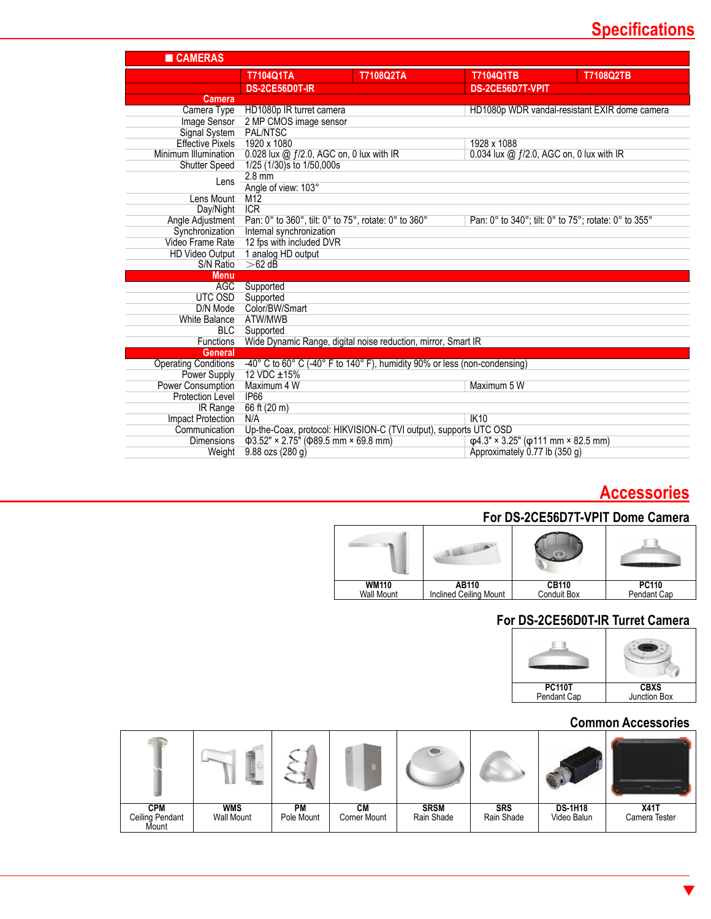## **Specifications**

| T7104Q1TA<br><b>T7108Q2TA</b><br><b>T7104Q1TB</b><br>T7108Q2TB<br>DS-2CE56D0T-IR<br>DS-2CE56D7T-VPIT<br><b>Camera</b><br>HD1080p IR turret camera<br>HD1080p WDR vandal-resistant EXIR dome camera<br>Camera Type<br>2 MP CMOS image sensor<br>Image Sensor<br><b>PAL/NTSC</b><br>Signal System<br><b>Effective Pixels</b><br>1920 x 1080<br>1928 x 1088<br>0.028 lux @ f/2.0, AGC on, 0 lux with IR<br>0.034 lux @ f/2.0, AGC on, 0 lux with IR<br>Minimum Illumination<br>1/25 (1/30)s to 1/50,000s<br><b>Shutter Speed</b><br>$2.8$ mm<br>Lens<br>Angle of view: 103°<br>M12<br>Lens Mount<br><b>ICR</b><br>Day/Night<br>Angle Adjustment<br>Pan: 0° to 360°, tilt: 0° to 75°, rotate: 0° to 360°<br>Pan: 0° to 340°; tilt: 0° to 75°; rotate: 0° to 355°<br>Synchronization<br>Internal synchronization<br>12 fps with included DVR<br>Video Frame Rate<br>HD Video Output 1 analog HD output<br>$>62$ dB<br>S/N Ratio<br><b>Menu</b><br><b>AGC</b><br>Supported<br>UTC OSD<br>Supported<br>Color/BW/Smart<br>D/N Mode<br>ATW/MWB<br><b>White Balance</b><br><b>BLC</b><br>Supported<br>Wide Dynamic Range, digital noise reduction, mirror, Smart IR<br><b>Functions</b><br><b>General</b><br>-40° C to 60° C (-40° F to 140° F), humidity 90% or less (non-condensing)<br><b>Operating Conditions</b><br>12 VDC ±15%<br>Power Supply | <b>CAMERAS</b>    |             |             |  |
|--------------------------------------------------------------------------------------------------------------------------------------------------------------------------------------------------------------------------------------------------------------------------------------------------------------------------------------------------------------------------------------------------------------------------------------------------------------------------------------------------------------------------------------------------------------------------------------------------------------------------------------------------------------------------------------------------------------------------------------------------------------------------------------------------------------------------------------------------------------------------------------------------------------------------------------------------------------------------------------------------------------------------------------------------------------------------------------------------------------------------------------------------------------------------------------------------------------------------------------------------------------------------------------------------------------------------------------------|-------------------|-------------|-------------|--|
|                                                                                                                                                                                                                                                                                                                                                                                                                                                                                                                                                                                                                                                                                                                                                                                                                                                                                                                                                                                                                                                                                                                                                                                                                                                                                                                                            |                   |             |             |  |
|                                                                                                                                                                                                                                                                                                                                                                                                                                                                                                                                                                                                                                                                                                                                                                                                                                                                                                                                                                                                                                                                                                                                                                                                                                                                                                                                            |                   |             |             |  |
|                                                                                                                                                                                                                                                                                                                                                                                                                                                                                                                                                                                                                                                                                                                                                                                                                                                                                                                                                                                                                                                                                                                                                                                                                                                                                                                                            |                   |             |             |  |
|                                                                                                                                                                                                                                                                                                                                                                                                                                                                                                                                                                                                                                                                                                                                                                                                                                                                                                                                                                                                                                                                                                                                                                                                                                                                                                                                            |                   |             |             |  |
|                                                                                                                                                                                                                                                                                                                                                                                                                                                                                                                                                                                                                                                                                                                                                                                                                                                                                                                                                                                                                                                                                                                                                                                                                                                                                                                                            |                   |             |             |  |
|                                                                                                                                                                                                                                                                                                                                                                                                                                                                                                                                                                                                                                                                                                                                                                                                                                                                                                                                                                                                                                                                                                                                                                                                                                                                                                                                            |                   |             |             |  |
|                                                                                                                                                                                                                                                                                                                                                                                                                                                                                                                                                                                                                                                                                                                                                                                                                                                                                                                                                                                                                                                                                                                                                                                                                                                                                                                                            |                   |             |             |  |
|                                                                                                                                                                                                                                                                                                                                                                                                                                                                                                                                                                                                                                                                                                                                                                                                                                                                                                                                                                                                                                                                                                                                                                                                                                                                                                                                            |                   |             |             |  |
|                                                                                                                                                                                                                                                                                                                                                                                                                                                                                                                                                                                                                                                                                                                                                                                                                                                                                                                                                                                                                                                                                                                                                                                                                                                                                                                                            |                   |             |             |  |
|                                                                                                                                                                                                                                                                                                                                                                                                                                                                                                                                                                                                                                                                                                                                                                                                                                                                                                                                                                                                                                                                                                                                                                                                                                                                                                                                            |                   |             |             |  |
|                                                                                                                                                                                                                                                                                                                                                                                                                                                                                                                                                                                                                                                                                                                                                                                                                                                                                                                                                                                                                                                                                                                                                                                                                                                                                                                                            |                   |             |             |  |
|                                                                                                                                                                                                                                                                                                                                                                                                                                                                                                                                                                                                                                                                                                                                                                                                                                                                                                                                                                                                                                                                                                                                                                                                                                                                                                                                            |                   |             |             |  |
|                                                                                                                                                                                                                                                                                                                                                                                                                                                                                                                                                                                                                                                                                                                                                                                                                                                                                                                                                                                                                                                                                                                                                                                                                                                                                                                                            |                   |             |             |  |
|                                                                                                                                                                                                                                                                                                                                                                                                                                                                                                                                                                                                                                                                                                                                                                                                                                                                                                                                                                                                                                                                                                                                                                                                                                                                                                                                            |                   |             |             |  |
|                                                                                                                                                                                                                                                                                                                                                                                                                                                                                                                                                                                                                                                                                                                                                                                                                                                                                                                                                                                                                                                                                                                                                                                                                                                                                                                                            |                   |             |             |  |
|                                                                                                                                                                                                                                                                                                                                                                                                                                                                                                                                                                                                                                                                                                                                                                                                                                                                                                                                                                                                                                                                                                                                                                                                                                                                                                                                            |                   |             |             |  |
|                                                                                                                                                                                                                                                                                                                                                                                                                                                                                                                                                                                                                                                                                                                                                                                                                                                                                                                                                                                                                                                                                                                                                                                                                                                                                                                                            |                   |             |             |  |
|                                                                                                                                                                                                                                                                                                                                                                                                                                                                                                                                                                                                                                                                                                                                                                                                                                                                                                                                                                                                                                                                                                                                                                                                                                                                                                                                            |                   |             |             |  |
|                                                                                                                                                                                                                                                                                                                                                                                                                                                                                                                                                                                                                                                                                                                                                                                                                                                                                                                                                                                                                                                                                                                                                                                                                                                                                                                                            |                   |             |             |  |
|                                                                                                                                                                                                                                                                                                                                                                                                                                                                                                                                                                                                                                                                                                                                                                                                                                                                                                                                                                                                                                                                                                                                                                                                                                                                                                                                            |                   |             |             |  |
|                                                                                                                                                                                                                                                                                                                                                                                                                                                                                                                                                                                                                                                                                                                                                                                                                                                                                                                                                                                                                                                                                                                                                                                                                                                                                                                                            |                   |             |             |  |
|                                                                                                                                                                                                                                                                                                                                                                                                                                                                                                                                                                                                                                                                                                                                                                                                                                                                                                                                                                                                                                                                                                                                                                                                                                                                                                                                            |                   |             |             |  |
|                                                                                                                                                                                                                                                                                                                                                                                                                                                                                                                                                                                                                                                                                                                                                                                                                                                                                                                                                                                                                                                                                                                                                                                                                                                                                                                                            |                   |             |             |  |
|                                                                                                                                                                                                                                                                                                                                                                                                                                                                                                                                                                                                                                                                                                                                                                                                                                                                                                                                                                                                                                                                                                                                                                                                                                                                                                                                            |                   |             |             |  |
|                                                                                                                                                                                                                                                                                                                                                                                                                                                                                                                                                                                                                                                                                                                                                                                                                                                                                                                                                                                                                                                                                                                                                                                                                                                                                                                                            |                   |             |             |  |
|                                                                                                                                                                                                                                                                                                                                                                                                                                                                                                                                                                                                                                                                                                                                                                                                                                                                                                                                                                                                                                                                                                                                                                                                                                                                                                                                            |                   |             |             |  |
|                                                                                                                                                                                                                                                                                                                                                                                                                                                                                                                                                                                                                                                                                                                                                                                                                                                                                                                                                                                                                                                                                                                                                                                                                                                                                                                                            |                   |             |             |  |
|                                                                                                                                                                                                                                                                                                                                                                                                                                                                                                                                                                                                                                                                                                                                                                                                                                                                                                                                                                                                                                                                                                                                                                                                                                                                                                                                            |                   |             |             |  |
|                                                                                                                                                                                                                                                                                                                                                                                                                                                                                                                                                                                                                                                                                                                                                                                                                                                                                                                                                                                                                                                                                                                                                                                                                                                                                                                                            | Power Consumption | Maximum 4 W | Maximum 5 W |  |
| <b>IP66</b><br><b>Protection Level</b>                                                                                                                                                                                                                                                                                                                                                                                                                                                                                                                                                                                                                                                                                                                                                                                                                                                                                                                                                                                                                                                                                                                                                                                                                                                                                                     |                   |             |             |  |
| 66 ft (20 m)<br><b>IR Range</b>                                                                                                                                                                                                                                                                                                                                                                                                                                                                                                                                                                                                                                                                                                                                                                                                                                                                                                                                                                                                                                                                                                                                                                                                                                                                                                            |                   |             |             |  |
| IK10<br><b>Impact Protection</b><br>N/A                                                                                                                                                                                                                                                                                                                                                                                                                                                                                                                                                                                                                                                                                                                                                                                                                                                                                                                                                                                                                                                                                                                                                                                                                                                                                                    |                   |             |             |  |
| Up-the-Coax, protocol: HIKVISION-C (TVI output), supports UTC OSD<br>Communication                                                                                                                                                                                                                                                                                                                                                                                                                                                                                                                                                                                                                                                                                                                                                                                                                                                                                                                                                                                                                                                                                                                                                                                                                                                         |                   |             |             |  |
| $\Phi$ 3.52" × 2.75" ( $\Phi$ 89.5 mm × 69.8 mm)<br>$\phi$ 4.3" × 3.25" ( $\phi$ 111 mm × 82.5 mm)<br><b>Dimensions</b>                                                                                                                                                                                                                                                                                                                                                                                                                                                                                                                                                                                                                                                                                                                                                                                                                                                                                                                                                                                                                                                                                                                                                                                                                    |                   |             |             |  |
| 9.88 ozs (280 g)<br>Approximately 0.77 lb (350 g)<br>Weight                                                                                                                                                                                                                                                                                                                                                                                                                                                                                                                                                                                                                                                                                                                                                                                                                                                                                                                                                                                                                                                                                                                                                                                                                                                                                |                   |             |             |  |

### **Accessories**

#### **For DS-2CE56D7T-VPIT Dome Camera**

| <b>WM110</b> | <b>AB110</b>           | <b>CB110</b> | <b>PC110</b> |
|--------------|------------------------|--------------|--------------|
| Wall Mount   | Inclined Ceiling Mount | Conduit Box  | Pendant Cap  |

#### **For DS-2CE56D0T-IR Turret Camera**



#### **Common Accessories**

|                                        |                                 |                         |                    |                           |                          |                               | <b><i>CALL COMPANIES</i></b> |
|----------------------------------------|---------------------------------|-------------------------|--------------------|---------------------------|--------------------------|-------------------------------|------------------------------|
| <b>CPM</b><br>Ceiling Pendant<br>Mount | <b>WMS</b><br><b>Wall Mount</b> | <b>PM</b><br>Pole Mount | CМ<br>Corner Mount | <b>SRSM</b><br>Rain Shade | <b>SRS</b><br>Rain Shade | <b>DS-1H18</b><br>Video Balun | <b>X41T</b><br>Camera Tester |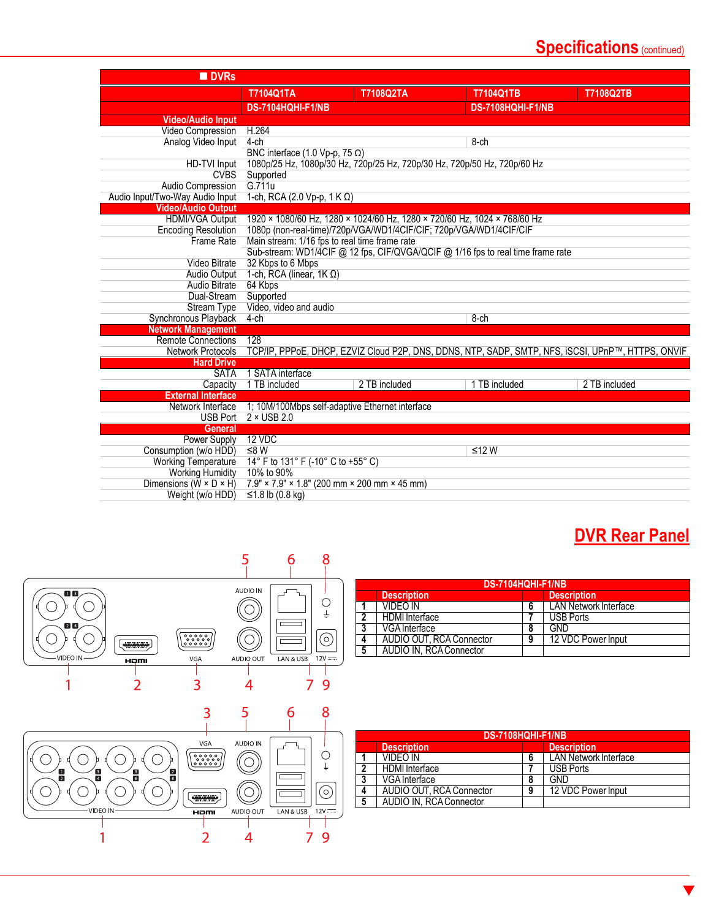## **Specifications** (continued)

| <b>DVRs</b>                                                             |                                                                           |                  |                                                                                                   |                  |
|-------------------------------------------------------------------------|---------------------------------------------------------------------------|------------------|---------------------------------------------------------------------------------------------------|------------------|
|                                                                         | <b>T7104Q1TA</b>                                                          | <b>T7108Q2TA</b> | <b>T7104Q1TB</b>                                                                                  | <b>T7108Q2TB</b> |
|                                                                         | <b>DS-7104HQHI-F1/NB</b>                                                  |                  | <b>DS-7108HQHI-F1/NB</b>                                                                          |                  |
| <b>Video/Audio Input</b>                                                |                                                                           |                  |                                                                                                   |                  |
| Video Compression                                                       | H.264                                                                     |                  |                                                                                                   |                  |
| Analog Video Input                                                      | $4$ -ch                                                                   |                  | $8$ -ch                                                                                           |                  |
|                                                                         | BNC interface $(1.0 Vp-p, 75 \Omega)$                                     |                  |                                                                                                   |                  |
| HD-TVI Input                                                            | 1080p/25 Hz, 1080p/30 Hz, 720p/25 Hz, 720p/30 Hz, 720p/50 Hz, 720p/60 Hz  |                  |                                                                                                   |                  |
| <b>CVBS</b>                                                             | Supported                                                                 |                  |                                                                                                   |                  |
| Audio Compression                                                       | G.711u                                                                    |                  |                                                                                                   |                  |
| Audio Input/Two-Way Audio Input                                         | 1-ch, RCA (2.0 Vp-p, 1 K $\Omega$ )                                       |                  |                                                                                                   |                  |
| <b>Video/Audio Output</b>                                               |                                                                           |                  |                                                                                                   |                  |
| <b>HDMI/VGA Output</b>                                                  | 1920 × 1080/60 Hz, 1280 × 1024/60 Hz, 1280 × 720/60 Hz, 1024 × 768/60 Hz  |                  |                                                                                                   |                  |
| <b>Encoding Resolution</b>                                              | 1080p (non-real-time)/720p/VGA/WD1/4CIF/CIF; 720p/VGA/WD1/4CIF/CIF        |                  |                                                                                                   |                  |
| <b>Frame Rate</b>                                                       | Main stream: 1/16 fps to real time frame rate                             |                  |                                                                                                   |                  |
|                                                                         |                                                                           |                  | Sub-stream: WD1/4CIF @ 12 fps, CIF/QVGA/QCIF @ 1/16 fps to real time frame rate                   |                  |
| Video Bitrate                                                           | 32 Kbps to 6 Mbps                                                         |                  |                                                                                                   |                  |
| Audio Output                                                            | 1-ch, RCA (linear, $1K \Omega$ )                                          |                  |                                                                                                   |                  |
| <b>Audio Bitrate</b>                                                    | 64 Kbps                                                                   |                  |                                                                                                   |                  |
| Dual-Stream                                                             | Supported                                                                 |                  |                                                                                                   |                  |
| <b>Stream Type</b>                                                      | Video, video and audio                                                    |                  |                                                                                                   |                  |
| Synchronous Playback                                                    | $4$ -ch                                                                   |                  | $8$ -ch                                                                                           |                  |
| <b>Network Management</b>                                               |                                                                           |                  |                                                                                                   |                  |
| <b>Remote Connections</b>                                               | 128                                                                       |                  |                                                                                                   |                  |
| <b>Network Protocols</b>                                                |                                                                           |                  | TCP/IP, PPPoE, DHCP, EZVIZ Cloud P2P, DNS, DDNS, NTP, SADP, SMTP, NFS, iSCSI, UPnP™, HTTPS, ONVIF |                  |
| <b>Hard Drive</b>                                                       |                                                                           |                  |                                                                                                   |                  |
| <b>SATA</b>                                                             | 1 SATA interface                                                          |                  |                                                                                                   |                  |
| Capacity                                                                | 1 TB included                                                             | 2 TB included    | 1 TB included                                                                                     | 2 TB included    |
| <b>External Interface</b>                                               |                                                                           |                  |                                                                                                   |                  |
| Network Interface                                                       | 1; 10M/100Mbps self-adaptive Ethernet interface                           |                  |                                                                                                   |                  |
| <b>USB Port</b>                                                         | $2 \times$ USB 2.0                                                        |                  |                                                                                                   |                  |
| <b>General</b>                                                          |                                                                           |                  |                                                                                                   |                  |
| <b>Power Supply</b>                                                     | 12 VDC                                                                    |                  |                                                                                                   |                  |
| Consumption (w/o HDD)                                                   | ≤8W                                                                       |                  | ≤12W                                                                                              |                  |
| <b>Working Temperature</b>                                              | 14° F to 131° F (-10° C to +55° C)<br>10% to 90%                          |                  |                                                                                                   |                  |
| <b>Working Humidity</b><br>Dimensions ( $\tilde{W} \times D \times H$ ) | $7.9'' \times 7.9'' \times 1.8''$ (200 mm $\times$ 200 mm $\times$ 45 mm) |                  |                                                                                                   |                  |
|                                                                         |                                                                           |                  |                                                                                                   |                  |
| Weight (w/o HDD)                                                        | ≤1.8 lb $(0.8 \text{ kg})$                                                |                  |                                                                                                   |                  |

## **DVR Rear Panel**



|   | DS-7104HQHI-F1/NB        |   |                              |  |  |
|---|--------------------------|---|------------------------------|--|--|
|   | <b>Description</b>       |   | <b>Description</b>           |  |  |
|   | VIDEO IN                 |   | <b>LAN Network Interface</b> |  |  |
| າ | <b>HDMI</b> Interface    |   | <b>USB Ports</b>             |  |  |
| 3 | VGA Interface            | o | GND                          |  |  |
| 4 | AUDIO OUT, RCA Connector | 9 | 12 VDC Power Input           |  |  |
| 5 | AUDIO IN, RCA Connector  |   |                              |  |  |

|   | DS-7108HQHI-F1/NB        |   |                              |  |  |
|---|--------------------------|---|------------------------------|--|--|
|   | <b>Description</b>       |   | <b>Description</b>           |  |  |
|   | <b>VIDEO IN</b>          | 6 | <b>LAN Network Interface</b> |  |  |
|   | <b>HDMI</b> Interface    |   | <b>USB Ports</b>             |  |  |
| 3 | VGA Interface            | 8 | <b>GND</b>                   |  |  |
| 4 | AUDIO OUT, RCA Connector | 9 | 12 VDC Power Input           |  |  |
| 5 | AUDIO IN. RCA Connector  |   |                              |  |  |